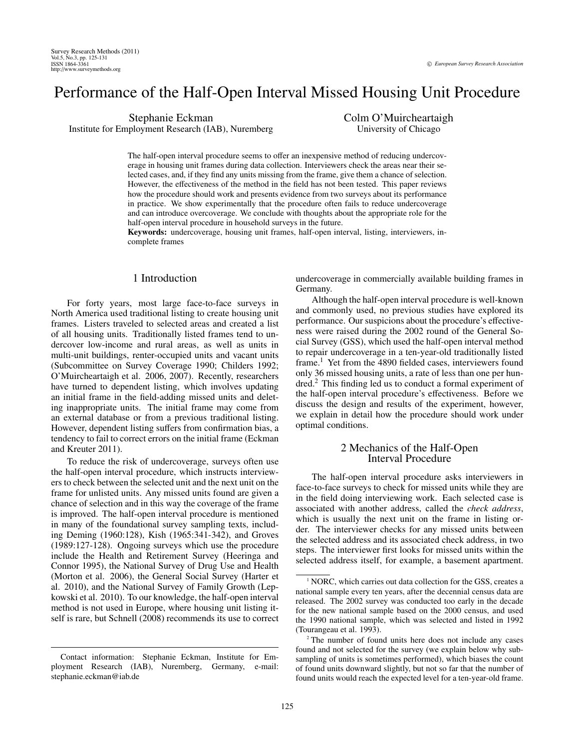# Performance of the Half-Open Interval Missed Housing Unit Procedure

Stephanie Eckman Institute for Employment Research (IAB), Nuremberg Colm O'Muircheartaigh University of Chicago

The half-open interval procedure seems to offer an inexpensive method of reducing undercoverage in housing unit frames during data collection. Interviewers check the areas near their selected cases, and, if they find any units missing from the frame, give them a chance of selection. However, the effectiveness of the method in the field has not been tested. This paper reviews how the procedure should work and presents evidence from two surveys about its performance in practice. We show experimentally that the procedure often fails to reduce undercoverage and can introduce overcoverage. We conclude with thoughts about the appropriate role for the half-open interval procedure in household surveys in the future.

Keywords: undercoverage, housing unit frames, half-open interval, listing, interviewers, incomplete frames

# 1 Introduction

For forty years, most large face-to-face surveys in North America used traditional listing to create housing unit frames. Listers traveled to selected areas and created a list of all housing units. Traditionally listed frames tend to undercover low-income and rural areas, as well as units in multi-unit buildings, renter-occupied units and vacant units (Subcommittee on Survey Coverage 1990; Childers 1992; O'Muircheartaigh et al. 2006, 2007). Recently, researchers have turned to dependent listing, which involves updating an initial frame in the field-adding missed units and deleting inappropriate units. The initial frame may come from an external database or from a previous traditional listing. However, dependent listing suffers from confirmation bias, a tendency to fail to correct errors on the initial frame (Eckman and Kreuter 2011).

To reduce the risk of undercoverage, surveys often use the half-open interval procedure, which instructs interviewers to check between the selected unit and the next unit on the frame for unlisted units. Any missed units found are given a chance of selection and in this way the coverage of the frame is improved. The half-open interval procedure is mentioned in many of the foundational survey sampling texts, including Deming (1960:128), Kish (1965:341-342), and Groves (1989:127-128). Ongoing surveys which use the procedure include the Health and Retirement Survey (Heeringa and Connor 1995), the National Survey of Drug Use and Health (Morton et al. 2006), the General Social Survey (Harter et al. 2010), and the National Survey of Family Growth (Lepkowski et al. 2010). To our knowledge, the half-open interval method is not used in Europe, where housing unit listing itself is rare, but Schnell (2008) recommends its use to correct

Contact information: Stephanie Eckman, Institute for Employment Research (IAB), Nuremberg, Germany, e-mail: stephanie.eckman@iab.de

undercoverage in commercially available building frames in Germany.

Although the half-open interval procedure is well-known and commonly used, no previous studies have explored its performance. Our suspicions about the procedure's effectiveness were raised during the 2002 round of the General Social Survey (GSS), which used the half-open interval method to repair undercoverage in a ten-year-old traditionally listed frame.<sup>1</sup> Yet from the 4890 fielded cases, interviewers found only 36 missed housing units, a rate of less than one per hundred.<sup>2</sup> This finding led us to conduct a formal experiment of the half-open interval procedure's effectiveness. Before we discuss the design and results of the experiment, however, we explain in detail how the procedure should work under optimal conditions.

# 2 Mechanics of the Half-Open Interval Procedure

The half-open interval procedure asks interviewers in face-to-face surveys to check for missed units while they are in the field doing interviewing work. Each selected case is associated with another address, called the *check address*, which is usually the next unit on the frame in listing order. The interviewer checks for any missed units between the selected address and its associated check address, in two steps. The interviewer first looks for missed units within the selected address itself, for example, a basement apartment.

<sup>&</sup>lt;sup>1</sup> NORC, which carries out data collection for the GSS, creates a national sample every ten years, after the decennial census data are released. The 2002 survey was conducted too early in the decade for the new national sample based on the 2000 census, and used the 1990 national sample, which was selected and listed in 1992 (Tourangeau et al. 1993).

<sup>&</sup>lt;sup>2</sup> The number of found units here does not include any cases found and not selected for the survey (we explain below why subsampling of units is sometimes performed), which biases the count of found units downward slightly, but not so far that the number of found units would reach the expected level for a ten-year-old frame.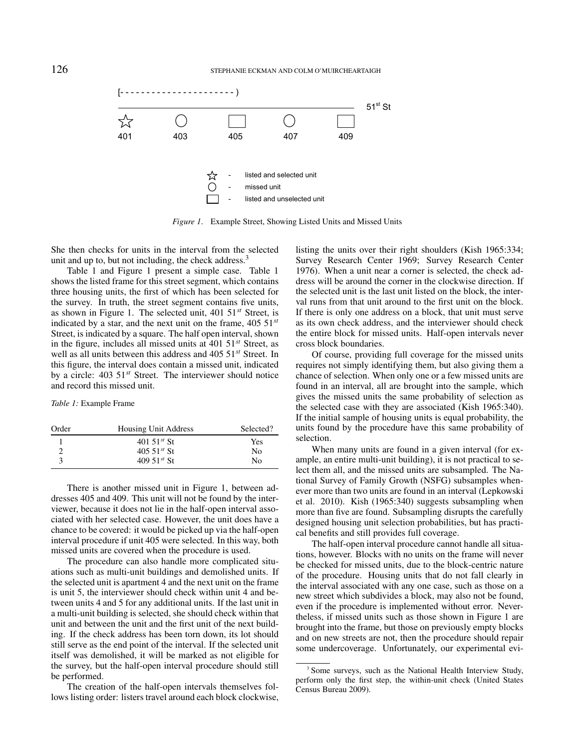

*Figure 1.* Example Street, Showing Listed Units and Missed Units

She then checks for units in the interval from the selected listing the units over their right unit and up to, but not including, the check address.<sup>3</sup>

shows the listed frame for this street segment, which contains Table 1 and Figure 1 present a simple case. Table 1 three housing units, the first of which has been selected for the survey. In truth, the street segment contains five units, as shown in Figure 1. The selected unit, 401 51*st* Street, is indicated by a star, and the next unit on the frame, 405 51*st* Street, is indicated by a square. The half open interval, shown in the figure, includes all missed units at 401 51*st* Street, as well as all units between this address and 405 51*st* Street. In this figure, the interval does contain a missed unit, indicated by a circle: 403 51*st* Street. The interviewer should notice and record this missed unit.

#### *Table 1:* Example Frame

| Order | Housing Unit Address    | Selected?      |
|-------|-------------------------|----------------|
|       | 401 51 <sup>st</sup> St | Yes            |
|       | $405.51^{st}$ St        | N <sub>0</sub> |
|       | 409.51 $st$ St          | No             |

There is another missed unit in Figure 1, between addresses 405 and 409. This unit will not be found by the interviewer, because it does not lie in the half-open interval associated with her selected case. However, the unit does have a chance to be covered: it would be picked up via the half-open interval procedure if unit 405 were selected. In this way, both missed units are covered when the procedure is used.

The procedure can also handle more complicated situations such as multi-unit buildings and demolished units. If the selected unit is apartment 4 and the next unit on the frame is unit 5, the interviewer should check within unit 4 and between units 4 and 5 for any additional units. If the last unit in a multi-unit building is selected, she should check within that unit and between the unit and the first unit of the next building. If the check address has been torn down, its lot should still serve as the end point of the interval. If the selected unit itself was demolished, it will be marked as not eligible for the survey, but the half-open interval procedure should still be performed.

The creation of the half-open intervals themselves follows listing order: listers travel around each block clockwise, listing the units over their right shoulders (Kish 1965:334; Survey Research Center 1969; Survey Research Center 1976). When a unit near a corner is selected, the check address will be around the corner in the clockwise direction. If the selected unit is the last unit listed on the block, the interval runs from that unit around to the first unit on the block. If there is only one address on a block, that unit must serve as its own check address, and the interviewer should check the entire block for missed units. Half-open intervals never cross block boundaries.

Of course, providing full coverage for the missed units requires not simply identifying them, but also giving them a chance of selection. When only one or a few missed units are found in an interval, all are brought into the sample, which gives the missed units the same probability of selection as the selected case with they are associated (Kish 1965:340). If the initial sample of housing units is equal probability, the units found by the procedure have this same probability of selection.

When many units are found in a given interval (for example, an entire multi-unit building), it is not practical to select them all, and the missed units are subsampled. The National Survey of Family Growth (NSFG) subsamples whenever more than two units are found in an interval (Lepkowski et al. 2010). Kish (1965:340) suggests subsampling when more than five are found. Subsampling disrupts the carefully designed housing unit selection probabilities, but has practical benefits and still provides full coverage.

The half-open interval procedure cannot handle all situations, however. Blocks with no units on the frame will never be checked for missed units, due to the block-centric nature of the procedure. Housing units that do not fall clearly in the interval associated with any one case, such as those on a new street which subdivides a block, may also not be found, even if the procedure is implemented without error. Nevertheless, if missed units such as those shown in Figure 1 are brought into the frame, but those on previously empty blocks and on new streets are not, then the procedure should repair some undercoverage. Unfortunately, our experimental evi-

<sup>&</sup>lt;sup>3</sup> Some surveys, such as the National Health Interview Study, perform only the first step, the within-unit check (United States Census Bureau 2009).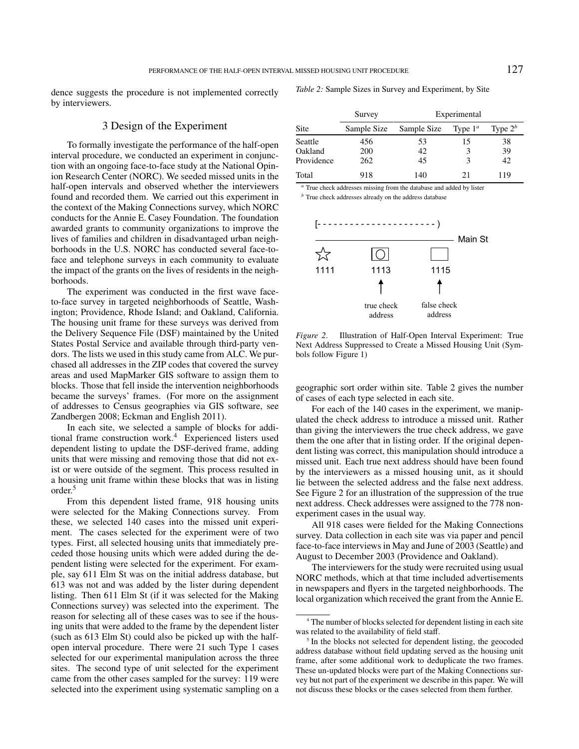dence suggests the procedure is not implemented correctly by interviewers.

3 Design of the Experiment

To formally investigate the performance of the half-open interval procedure, we conducted an experiment in conjunction with an ongoing face-to-face study at the National Opinion Research Center (NORC). We seeded missed units in the half-open intervals and observed whether the interviewers found and recorded them. We carried out this experiment in the context of the Making Connections survey, which NORC conducts for the Annie E. Casey Foundation. The foundation awarded grants to community organizations to improve the lives of families and children in disadvantaged urban neighborhoods in the U.S. NORC has conducted several face-toface and telephone surveys in each community to evaluate the impact of the grants on the lives of residents in the neighborhoods.

The experiment was conducted in the first wave faceto-face survey in targeted neighborhoods of Seattle, Washington; Providence, Rhode Island; and Oakland, California. The housing unit frame for these surveys was derived from the Delivery Sequence File (DSF) maintained by the United States Postal Service and available through third-party vendors. The lists we used in this study came from ALC. We purchased all addresses in the ZIP codes that covered the survey areas and used MapMarker GIS software to assign them to blocks. Those that fell inside the intervention neighborhoods became the surveys' frames. (For more on the assignment of addresses to Census geographies via GIS software, see Zandbergen 2008; Eckman and English 2011).  $\Delta$  1818 cases were field for the Making Connections survey. Data collections survey. Data collection in  $\Delta$  collection in  $\Delta$  collections survey. Data collection in  $\Delta$  collections survey.

In each site, we selected a sample of blocks for additional frame construction work.<sup>4</sup> Experienced listers used dependent listing to update the DSF-derived frame, adding units that were missing and removing those that did not exist or were outside of the segment. This process resulted in a housing unit frame within these blocks that was in listing order.<sup>5</sup>

From this dependent listed frame, 918 housing units were selected for the Making Connections survey. From these, we selected 140 cases into the missed unit experiment. The cases selected for the experiment were of two types. First, all selected housing units that immediately preceded those housing units which were added during the dependent listing were selected for the experiment. For example, say 611 Elm St was on the initial address database, but 613 was not and was added by the lister during dependent listing. Then 611 Elm St (if it was selected for the Making Connections survey) was selected into the experiment. The reason for selecting all of these cases was to see if the housing units that were added to the frame by the dependent lister (such as 613 Elm St) could also be picked up with the halfopen interval procedure. There were 21 such Type 1 cases selected for our experimental manipulation across the three sites. The second type of unit selected for the experiment came from the other cases sampled for the survey: 119 were selected into the experiment using systematic sampling on a *Table 2:* Sample Sizes in Survey and Experiment, by Site

|                  |                    | Survey            | Experimental |            |            |
|------------------|--------------------|-------------------|--------------|------------|------------|
|                  | <b>Site</b>        | Sample Size       | Sample Size  | Type $1^a$ | Type $2^b$ |
| f-open<br>njunc- | Seattle<br>Oakland | 456<br><b>200</b> | 53<br>42     |            | 38<br>39   |
| Opin-            | Providence         | 262               | 45           |            | 42         |
| in the           | Total              | 918               | 140          |            | 119        |

is the selection of the selected addresses missing from the database and added by lister **b** True check addresses infishing from the database and added by fister **heat**  $\frac{b}{n}$  True check addresses already on the address database

 $t_{\rm TDR}$  and  $\tau_{\rm TCR}$  and  $t_{\rm TCR}$  and  $t_{\rm TCR}$  and  $t_{\rm TCR}$  and  $t_{\rm TCR}$ 



y ven-<br>Next Address Suppressed to Create a Missed Housing Unit (Sym- $\delta$ e pur-bols follow Figure 1) *Figure 2*. Illustration of Half-Open Interval Experiment: True

hoods geographic sort order within site. Table 2 gives the number nment of cases of each type selected in each site.

For each of the 140 cases in the experiment, we manipulated the check address to introduce a missed unit. Rather than giving the interviewers the true check address, we gave  $s$  used them the one after that in listing order. If the original depenadding dent listing was correct, this manipulation should introduce a 5 lie between the selected address and the false next address. missed unit. Each true next address should have been found by the interviewers as a missed housing unit, as it should See Figure 2 for an illustration of the suppression of the true next address. Check addresses were assigned to the 778 nonexperiment cases in the usual way.

> All 918 cases were fielded for the Making Connections survey. Data collection in each site was via paper and pencil face-to-face interviews in May and June of 2003 (Seattle) and August to December 2003 (Providence and Oakland).

> The interviewers for the study were recruited using usual NORC methods, which at that time included advertisements in newspapers and flyers in the targeted neighborhoods. The local organization which received the grant from the Annie E.

<sup>4</sup> The number of blocks selected for dependent listing in each site was related to the availability of field staff.

<sup>&</sup>lt;sup>5</sup> In the blocks not selected for dependent listing, the geocoded address database without field updating served as the housing unit frame, after some additional work to deduplicate the two frames. These un-updated blocks were part of the Making Connections survey but not part of the experiment we describe in this paper. We will not discuss these blocks or the cases selected from them further.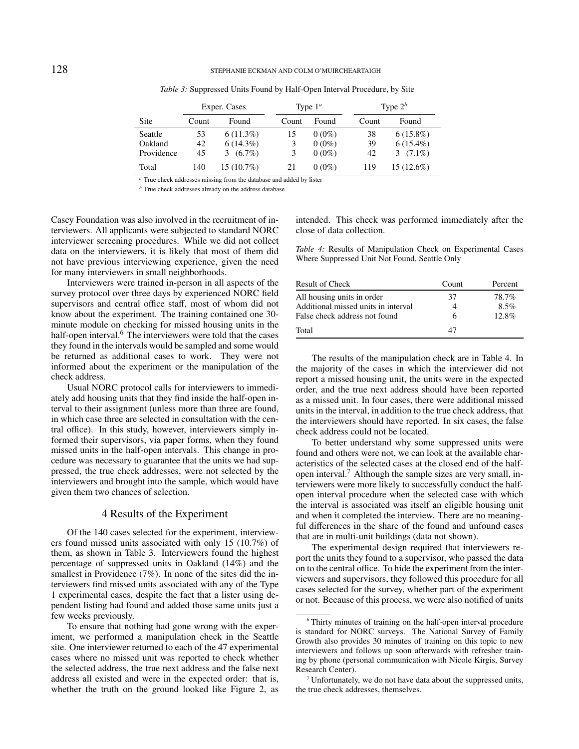|            |       | Exper. Cases   | Type $1^a$ |          |       | Type $2^b$   |  |
|------------|-------|----------------|------------|----------|-------|--------------|--|
| Site       | Count | Found          | Count      | Found    | Count | Found        |  |
| Seattle    | 53    | $6(11.3\%)$    | 15         | $0(0\%)$ | 38    | $6(15.8\%)$  |  |
| Oakland    | 42    | $6(14.3\%)$    | 3          | $0(0\%)$ | 39    | $6(15.4\%)$  |  |
| Providence | 45    | $(6.7\%)$<br>3 | 3          | $0(0\%)$ | 42    | 3 $(7.1\%)$  |  |
| Total      | 140   | $15(10.7\%)$   | 21         | $0(0\%)$ | 119   | $15(12.6\%)$ |  |

*Table 3:* Suppressed Units Found by Half-Open Interval Procedure, by Site

*<sup>a</sup>* True check addresses missing from the database and added by lister

*<sup>b</sup>* True check addresses already on the address database

Casey Foundation was also involved in the recruitment of interviewers. All applicants were subjected to standard NORC interviewer screening procedures. While we did not collect data on the interviewers, it is likely that most of them did not have previous interviewing experience, given the need for many interviewers in small neighborhoods.

Interviewers were trained in-person in all aspects of the survey protocol over three days by experienced NORC field supervisors and central office staff, most of whom did not know about the experiment. The training contained one 30 minute module on checking for missed housing units in the half-open interval.<sup>6</sup> The interviewers were told that the cases they found in the intervals would be sampled and some would be returned as additional cases to work. They were not informed about the experiment or the manipulation of the check address.

Usual NORC protocol calls for interviewers to immediately add housing units that they find inside the half-open interval to their assignment (unless more than three are found, in which case three are selected in consultation with the central office). In this study, however, interviewers simply informed their supervisors, via paper forms, when they found missed units in the half-open intervals. This change in procedure was necessary to guarantee that the units we had suppressed, the true check addresses, were not selected by the interviewers and brought into the sample, which would have given them two chances of selection.

# 4 Results of the Experiment

Of the 140 cases selected for the experiment, interviewers found missed units associated with only 15 (10.7%) of them, as shown in Table 3. Interviewers found the highest percentage of suppressed units in Oakland (14%) and the smallest in Providence (7%). In none of the sites did the interviewers find missed units associated with any of the Type 1 experimental cases, despite the fact that a lister using dependent listing had found and added those same units just a few weeks previously.

To ensure that nothing had gone wrong with the experiment, we performed a manipulation check in the Seattle site. One interviewer returned to each of the 47 experimental cases where no missed unit was reported to check whether the selected address, the true next address and the false next address all existed and were in the expected order: that is, whether the truth on the ground looked like Figure 2, as

intended. This check was performed immediately after the close of data collection.

*Table 4:* Results of Manipulation Check on Experimental Cases Where Suppressed Unit Not Found, Seattle Only

| Result of Check                     | Count | Percent |
|-------------------------------------|-------|---------|
| All housing units in order          | 37    | 78.7%   |
| Additional missed units in interval | 4     | $8.5\%$ |
| False check address not found       | 6     | 12.8%   |
| Total                               | 47    |         |

The results of the manipulation check are in Table 4. In the majority of the cases in which the interviewer did not report a missed housing unit, the units were in the expected order, and the true next address should have been reported as a missed unit. In four cases, there were additional missed units in the interval, in addition to the true check address, that the interviewers should have reported. In six cases, the false check address could not be located.

To better understand why some suppressed units were found and others were not, we can look at the available characteristics of the selected cases at the closed end of the halfopen interval.<sup>7</sup> Although the sample sizes are very small, interviewers were more likely to successfully conduct the halfopen interval procedure when the selected case with which the interval is associated was itself an eligible housing unit and when it completed the interview. There are no meaningful differences in the share of the found and unfound cases that are in multi-unit buildings (data not shown).

The experimental design required that interviewers report the units they found to a supervisor, who passed the data on to the central office. To hide the experiment from the interviewers and supervisors, they followed this procedure for all cases selected for the survey, whether part of the experiment or not. Because of this process, we were also notified of units

<sup>6</sup> Thirty minutes of training on the half-open interval procedure is standard for NORC surveys. The National Survey of Family Growth also provides 30 minutes of training on this topic to new interviewers and follows up soon afterwards with refresher training by phone (personal communication with Nicole Kirgis, Survey Research Center).

 $7$  Unfortunately, we do not have data about the suppressed units, the true check addresses, themselves.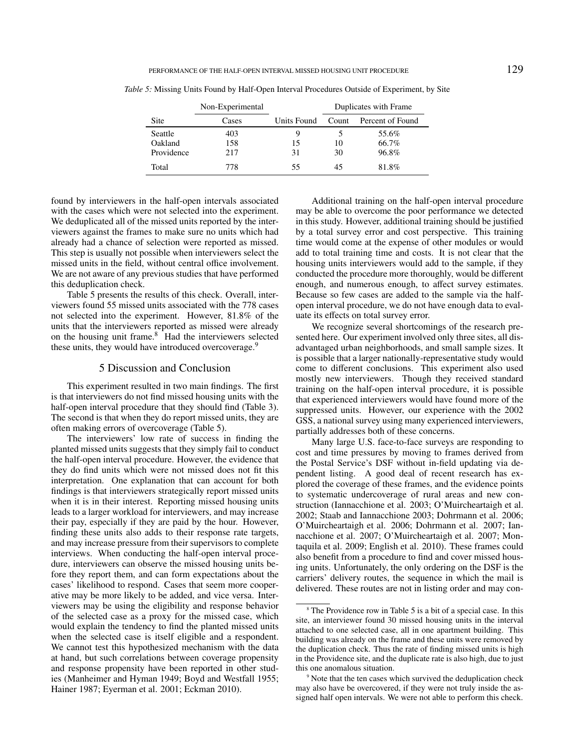|            | Non-Experimental |             | Duplicates with Frame |                  |  |
|------------|------------------|-------------|-----------------------|------------------|--|
| Site       | Cases            | Units Found | Count                 | Percent of Found |  |
| Seattle    | 403              | y,          |                       | 55.6%            |  |
| Oakland    | 158              | 15          | 10                    | 66.7%            |  |
| Providence | 217              | 31          | 30                    | 96.8%            |  |
| Total      | 778              | 55          | 45                    | 81.8%            |  |

*Table 5:* Missing Units Found by Half-Open Interval Procedures Outside of Experiment, by Site

found by interviewers in the half-open intervals associated with the cases which were not selected into the experiment. We deduplicated all of the missed units reported by the interviewers against the frames to make sure no units which had already had a chance of selection were reported as missed. This step is usually not possible when interviewers select the missed units in the field, without central office involvement. We are not aware of any previous studies that have performed this deduplication check.

Table 5 presents the results of this check. Overall, interviewers found 55 missed units associated with the 778 cases not selected into the experiment. However, 81.8% of the units that the interviewers reported as missed were already on the housing unit frame.<sup>8</sup> Had the interviewers selected these units, they would have introduced overcoverage.<sup>9</sup>

# 5 Discussion and Conclusion

This experiment resulted in two main findings. The first is that interviewers do not find missed housing units with the half-open interval procedure that they should find (Table 3). The second is that when they do report missed units, they are often making errors of overcoverage (Table 5).

The interviewers' low rate of success in finding the planted missed units suggests that they simply fail to conduct the half-open interval procedure. However, the evidence that they do find units which were not missed does not fit this interpretation. One explanation that can account for both findings is that interviewers strategically report missed units when it is in their interest. Reporting missed housing units leads to a larger workload for interviewers, and may increase their pay, especially if they are paid by the hour. However, finding these units also adds to their response rate targets, and may increase pressure from their supervisors to complete interviews. When conducting the half-open interval procedure, interviewers can observe the missed housing units before they report them, and can form expectations about the cases' likelihood to respond. Cases that seem more cooperative may be more likely to be added, and vice versa. Interviewers may be using the eligibility and response behavior of the selected case as a proxy for the missed case, which would explain the tendency to find the planted missed units when the selected case is itself eligible and a respondent. We cannot test this hypothesized mechanism with the data at hand, but such correlations between coverage propensity and response propensity have been reported in other studies (Manheimer and Hyman 1949; Boyd and Westfall 1955; Hainer 1987; Eyerman et al. 2001; Eckman 2010).

Additional training on the half-open interval procedure may be able to overcome the poor performance we detected in this study. However, additional training should be justified by a total survey error and cost perspective. This training time would come at the expense of other modules or would add to total training time and costs. It is not clear that the housing units interviewers would add to the sample, if they conducted the procedure more thoroughly, would be different enough, and numerous enough, to affect survey estimates. Because so few cases are added to the sample via the halfopen interval procedure, we do not have enough data to evaluate its effects on total survey error.

We recognize several shortcomings of the research presented here. Our experiment involved only three sites, all disadvantaged urban neighborhoods, and small sample sizes. It is possible that a larger nationally-representative study would come to different conclusions. This experiment also used mostly new interviewers. Though they received standard training on the half-open interval procedure, it is possible that experienced interviewers would have found more of the suppressed units. However, our experience with the 2002 GSS, a national survey using many experienced interviewers, partially addresses both of these concerns.

Many large U.S. face-to-face surveys are responding to cost and time pressures by moving to frames derived from the Postal Service's DSF without in-field updating via dependent listing. A good deal of recent research has explored the coverage of these frames, and the evidence points to systematic undercoverage of rural areas and new construction (Iannacchione et al. 2003; O'Muircheartaigh et al. 2002; Staab and Iannacchione 2003; Dohrmann et al. 2006; O'Muircheartaigh et al. 2006; Dohrmann et al. 2007; Iannacchione et al. 2007; O'Muircheartaigh et al. 2007; Montaquila et al. 2009; English et al. 2010). These frames could also benefit from a procedure to find and cover missed housing units. Unfortunately, the only ordering on the DSF is the carriers' delivery routes, the sequence in which the mail is delivered. These routes are not in listing order and may con-

<sup>&</sup>lt;sup>8</sup> The Providence row in Table 5 is a bit of a special case. In this site, an interviewer found 30 missed housing units in the interval attached to one selected case, all in one apartment building. This building was already on the frame and these units were removed by the duplication check. Thus the rate of finding missed units is high in the Providence site, and the duplicate rate is also high, due to just this one anomalous situation.

<sup>&</sup>lt;sup>9</sup> Note that the ten cases which survived the deduplication check may also have be overcovered, if they were not truly inside the assigned half open intervals. We were not able to perform this check.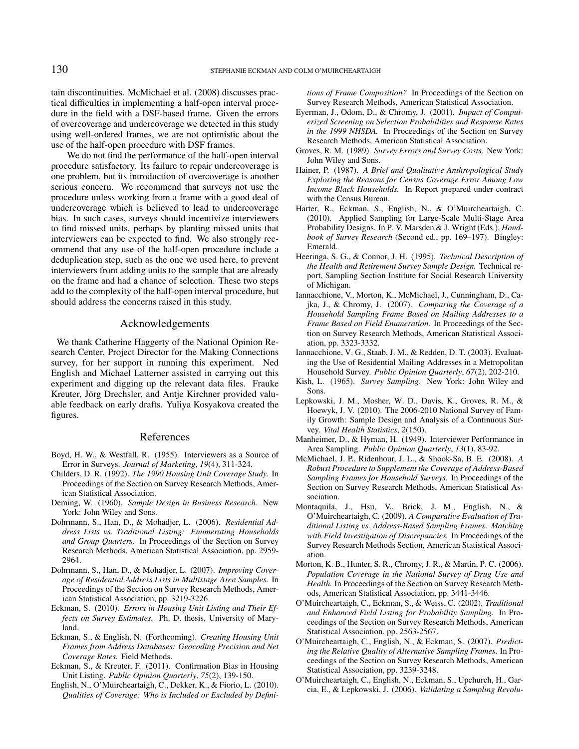tain discontinuities. McMichael et al. (2008) discusses practical difficulties in implementing a half-open interval procedure in the field with a DSF-based frame. Given the errors of overcoverage and undercoverage we detected in this study using well-ordered frames, we are not optimistic about the use of the half-open procedure with DSF frames.

We do not find the performance of the half-open interval procedure satisfactory. Its failure to repair undercoverage is one problem, but its introduction of overcoverage is another serious concern. We recommend that surveys not use the procedure unless working from a frame with a good deal of undercoverage which is believed to lead to undercoverage bias. In such cases, surveys should incentivize interviewers to find missed units, perhaps by planting missed units that interviewers can be expected to find. We also strongly recommend that any use of the half-open procedure include a deduplication step, such as the one we used here, to prevent interviewers from adding units to the sample that are already on the frame and had a chance of selection. These two steps add to the complexity of the half-open interval procedure, but should address the concerns raised in this study.

### Acknowledgements

We thank Catherine Haggerty of the National Opinion Research Center, Project Director for the Making Connections survey, for her support in running this experiment. Ned English and Michael Latterner assisted in carrying out this experiment and digging up the relevant data files. Frauke Kreuter, Jörg Drechsler, and Antje Kirchner provided valuable feedback on early drafts. Yuliya Kosyakova created the figures.

### References

- Boyd, H. W., & Westfall, R. (1955). Interviewers as a Source of Error in Surveys. *Journal of Marketing*, *19*(4), 311-324.
- Childers, D. R. (1992). *The 1990 Housing Unit Coverage Study.* In Proceedings of the Section on Survey Research Methods, American Statistical Association.
- Deming, W. (1960). *Sample Design in Business Research*. New York: John Wiley and Sons.
- Dohrmann, S., Han, D., & Mohadjer, L. (2006). *Residential Address Lists vs. Traditional Listing: Enumerating Households and Group Quarters.* In Proceedings of the Section on Survey Research Methods, American Statistical Association, pp. 2959- 2964.
- Dohrmann, S., Han, D., & Mohadjer, L. (2007). *Improving Coverage of Residential Address Lists in Multistage Area Samples.* In Proceedings of the Section on Survey Research Methods, American Statistical Association, pp. 3219-3226.
- Eckman, S. (2010). *Errors in Housing Unit Listing and Their Effects on Survey Estimates.* Ph. D. thesis, University of Maryland.
- Eckman, S., & English, N. (Forthcoming). *Creating Housing Unit Frames from Address Databases: Geocoding Precision and Net Coverage Rates.* Field Methods.
- Eckman, S., & Kreuter, F. (2011). Confirmation Bias in Housing Unit Listing. *Public Opinion Quarterly*, *75*(2), 139-150.
- English, N., O'Muircheartaigh, C., Dekker, K., & Fiorio, L. (2010). *Qualities of Coverage: Who is Included or Excluded by Defini-*

*tions of Frame Composition?* In Proceedings of the Section on Survey Research Methods, American Statistical Association.

- Eyerman, J., Odom, D., & Chromy, J. (2001). *Impact of Computerized Screening on Selection Probabilities and Response Rates in the 1999 NHSDA.* In Proceedings of the Section on Survey Research Methods, American Statistical Association.
- Groves, R. M. (1989). *Survey Errors and Survey Costs*. New York: John Wiley and Sons.
- Hainer, P. (1987). *A Brief and Qualitative Anthropological Study Exploring the Reasons for Census Coverage Error Among Low Income Black Households.* In Report prepared under contract with the Census Bureau.
- Harter, R., Eckman, S., English, N., & O'Muircheartaigh, C. (2010). Applied Sampling for Large-Scale Multi-Stage Area Probability Designs. In P. V. Marsden & J. Wright (Eds.), *Handbook of Survey Research* (Second ed., pp. 169–197). Bingley: Emerald.
- Heeringa, S. G., & Connor, J. H. (1995). *Technical Description of the Health and Retirement Survey Sample Design.* Technical report, Sampling Section Institute for Social Research University of Michigan.
- Iannacchione, V., Morton, K., McMichael, J., Cunningham, D., Cajka, J., & Chromy, J. (2007). *Comparing the Coverage of a Household Sampling Frame Based on Mailing Addresses to a Frame Based on Field Enumeration.* In Proceedings of the Section on Survey Research Methods, American Statistical Association, pp. 3323-3332.
- Iannacchione, V. G., Staab, J. M., & Redden, D. T. (2003). Evaluating the Use of Residential Mailing Addresses in a Metropolitan Household Survey. *Public Opinion Quarterly*, *67*(2), 202-210.
- Kish, L. (1965). *Survey Sampling*. New York: John Wiley and Sons.
- Lepkowski, J. M., Mosher, W. D., Davis, K., Groves, R. M., & Hoewyk, J. V. (2010). The 2006-2010 National Survey of Family Growth: Sample Design and Analysis of a Continuous Survey. *Vital Health Statistics*, *2*(150).
- Manheimer, D., & Hyman, H. (1949). Interviewer Performance in Area Sampling. *Public Opinion Quarterly*, *13*(1), 83-92.
- McMichael, J. P., Ridenhour, J. L., & Shook-Sa, B. E. (2008). *A Robust Procedure to Supplement the Coverage of Address-Based Sampling Frames for Household Surveys.* In Proceedings of the Section on Survey Research Methods, American Statistical Association.
- Montaquila, J., Hsu, V., Brick, J. M., English, N., & O'Muircheartaigh, C. (2009). *A Comparative Evaluation of Traditional Listing vs. Address-Based Sampling Frames: Matching with Field Investigation of Discrepancies.* In Proceedings of the Survey Research Methods Section, American Statistical Association.
- Morton, K. B., Hunter, S. R., Chromy, J. R., & Martin, P. C. (2006). *Population Coverage in the National Survey of Drug Use and Health.* In Proceedings of the Section on Survey Research Methods, American Statistical Association, pp. 3441-3446.
- O'Muircheartaigh, C., Eckman, S., & Weiss, C. (2002). *Traditional and Enhanced Field Listing for Probability Sampling.* In Proceedings of the Section on Survey Research Methods, American Statistical Association, pp. 2563-2567.
- O'Muircheartaigh, C., English, N., & Eckman, S. (2007). *Predicting the Relative Quality of Alternative Sampling Frames.* In Proceedings of the Section on Survey Research Methods, American Statistical Association, pp. 3239-3248.
- O'Muircheartaigh, C., English, N., Eckman, S., Upchurch, H., Garcia, E., & Lepkowski, J. (2006). *Validating a Sampling Revolu-*